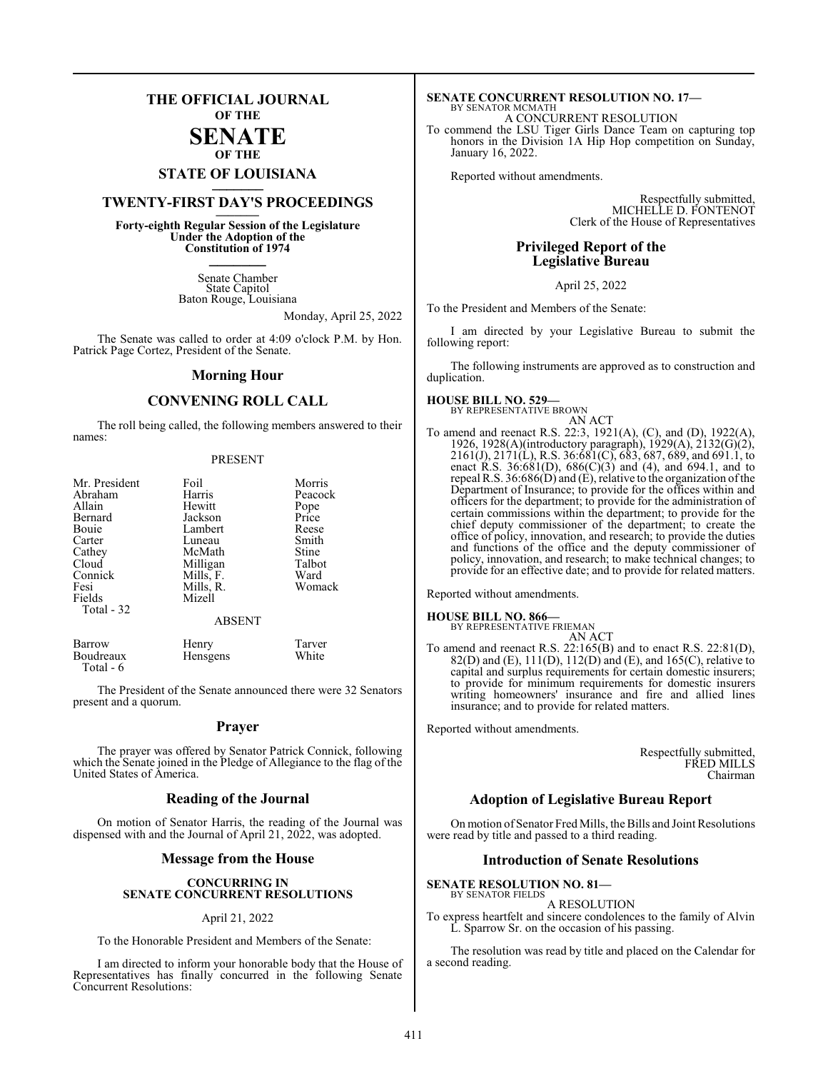### **THE OFFICIAL JOURNAL OF THE**

#### **SENATE OF THE**

## **STATE OF LOUISIANA \_\_\_\_\_\_\_**

### **TWENTY-FIRST DAY'S PROCEEDINGS \_\_\_\_\_\_\_**

**Forty-eighth Regular Session of the Legislature Under the Adoption of the Constitution of 1974 \_\_\_\_\_\_\_**

> Senate Chamber State Capitol Baton Rouge, Louisiana

> > Monday, April 25, 2022

The Senate was called to order at 4:09 o'clock P.M. by Hon. Patrick Page Cortez, President of the Senate.

#### **Morning Hour**

### **CONVENING ROLL CALL**

The roll being called, the following members answered to their names:

#### PRESENT

| Mr. President | Foil      | Morris  |
|---------------|-----------|---------|
| Abraham       | Harris    | Peacock |
| Allain        | Hewitt    | Pope    |
| Bernard       | Jackson   | Price   |
| Bouie         | Lambert   | Reese   |
| Carter        | Luneau    | Smith   |
| Cathey        | McMath    | Stine   |
| Cloud         | Milligan  | Talbot  |
| Connick       | Mills, F. | Ward    |
| Fesi          | Mills, R. | Womack  |
| Fields        | Mizell    |         |
| Total - 32    |           |         |
| <b>ABSENT</b> |           |         |

| Barrow    | Henry    | Tarver |
|-----------|----------|--------|
| Boudreaux | Hensgens | White  |
| Total - 6 |          |        |

The President of the Senate announced there were 32 Senators present and a quorum.

#### **Prayer**

The prayer was offered by Senator Patrick Connick, following which the Senate joined in the Pledge of Allegiance to the flag of the United States of America.

#### **Reading of the Journal**

On motion of Senator Harris, the reading of the Journal was dispensed with and the Journal of April 21, 2022, was adopted.

#### **Message from the House**

#### **CONCURRING IN SENATE CONCURRENT RESOLUTIONS**

#### April 21, 2022

To the Honorable President and Members of the Senate:

I am directed to inform your honorable body that the House of Representatives has finally concurred in the following Senate Concurrent Resolutions:

### **SENATE CONCURRENT RESOLUTION NO. 17—** BY SENATOR MCMATH A CONCURRENT RESOLUTION

To commend the LSU Tiger Girls Dance Team on capturing top honors in the Division 1A Hip Hop competition on Sunday, January 16, 2022.

Reported without amendments.

Respectfully submitted, MICHELLE D. FONTENOT Clerk of the House of Representatives

#### **Privileged Report of the Legislative Bureau**

April 25, 2022

To the President and Members of the Senate:

I am directed by your Legislative Bureau to submit the following report:

The following instruments are approved as to construction and duplication.

### **HOUSE BILL NO. 529—**

BY REPRESENTATIVE BROWN AN ACT

To amend and reenact R.S. 22:3, 1921(A), (C), and (D), 1922(A), 1926, 1928(A)(introductory paragraph), 1929(A), 2132(G)(2), 2161(J), 2171(L), R.S. 36:681(C), 683, 687, 689, and 691.1, to enact R.S. 36:681(D), 686(C)(3) and (4), and 694.1, and to repeal R.S. 36:686(D) and (E), relative to the organization of the Department of Insurance; to provide for the offices within and officers for the department; to provide for the administration of certain commissions within the department; to provide for the chief deputy commissioner of the department; to create the office of policy, innovation, and research; to provide the duties and functions of the office and the deputy commissioner of policy, innovation, and research; to make technical changes; to provide for an effective date; and to provide for related matters.

Reported without amendments.

#### **HOUSE BILL NO. 866—**

BY REPRESENTATIVE FRIEMAN AN ACT

To amend and reenact R.S. 22:165(B) and to enact R.S. 22:81(D), 82(D) and (E),  $111(D)$ ,  $112(D)$  and (E), and  $165(C)$ , relative to capital and surplus requirements for certain domestic insurers; to provide for minimum requirements for domestic insurers writing homeowners' insurance and fire and allied lines insurance; and to provide for related matters.

Reported without amendments.

Respectfully submitted, FRED MILLS Chairman

#### **Adoption of Legislative Bureau Report**

On motion of Senator Fred Mills, the Bills and Joint Resolutions were read by title and passed to a third reading.

#### **Introduction of Senate Resolutions**

#### **SENATE RESOLUTION NO. 81—** BY SENATOR FIELDS

- A RESOLUTION
- To express heartfelt and sincere condolences to the family of Alvin L. Sparrow Sr. on the occasion of his passing.

The resolution was read by title and placed on the Calendar for a second reading.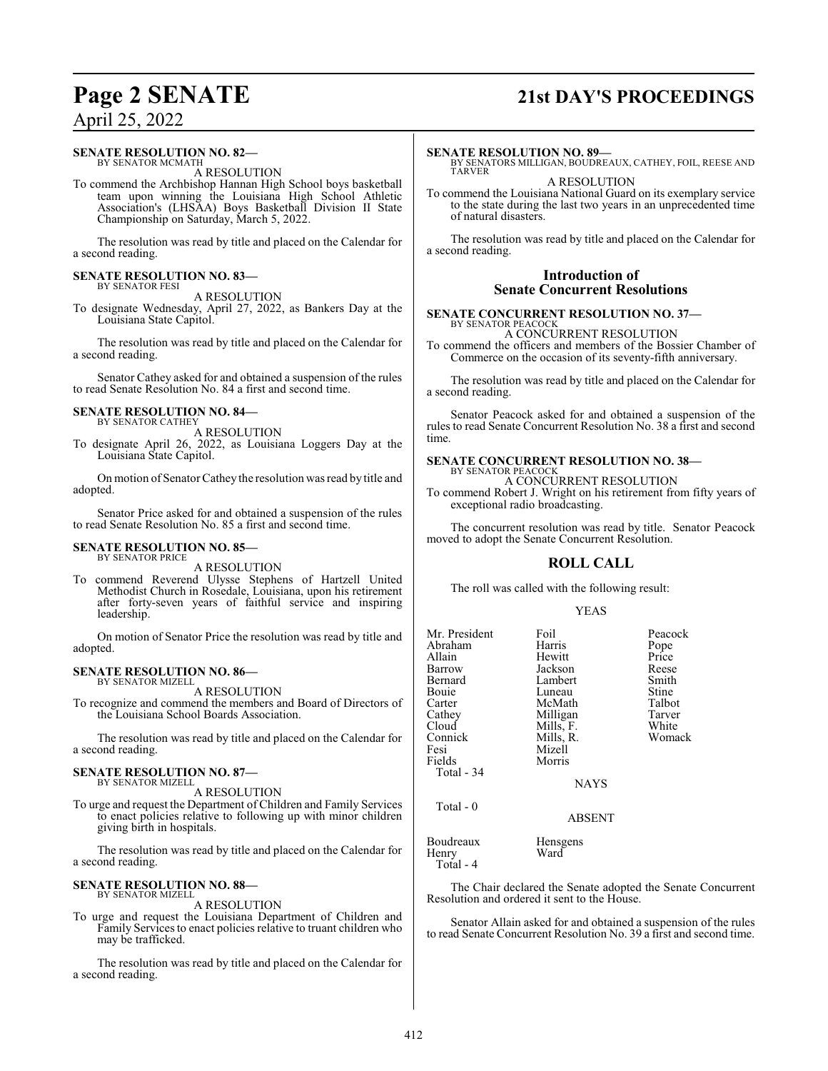## **Page 2 SENATE 21st DAY'S PROCEEDINGS**

### April 25, 2022

#### **SENATE RESOLUTION NO. 82—**

BY SENATOR MCMATH A RESOLUTION

To commend the Archbishop Hannan High School boys basketball team upon winning the Louisiana High School Athletic Association's (LHSAA) Boys Basketball Division II State Championship on Saturday, March 5, 2022.

The resolution was read by title and placed on the Calendar for a second reading.

#### **SENATE RESOLUTION NO. 83—** BY SENATOR FESI

A RESOLUTION

To designate Wednesday, April 27, 2022, as Bankers Day at the Louisiana State Capitol.

The resolution was read by title and placed on the Calendar for a second reading.

Senator Cathey asked for and obtained a suspension of the rules to read Senate Resolution No. 84 a first and second time.

#### **SENATE RESOLUTION NO. 84—** BY SENATOR CATHEY

A RESOLUTION

To designate April 26, 2022, as Louisiana Loggers Day at the Louisiana State Capitol.

On motion of Senator Cathey the resolution was read by title and adopted.

Senator Price asked for and obtained a suspension of the rules to read Senate Resolution No. 85 a first and second time.

#### **SENATE RESOLUTION NO. 85—** BY SENATOR PRICE

A RESOLUTION

To commend Reverend Ulysse Stephens of Hartzell United Methodist Church in Rosedale, Louisiana, upon his retirement after forty-seven years of faithful service and inspiring leadership.

On motion of Senator Price the resolution was read by title and adopted.

#### **SENATE RESOLUTION NO. 86—**

BY SENATOR MIZELL A RESOLUTION

To recognize and commend the members and Board of Directors of the Louisiana School Boards Association.

The resolution was read by title and placed on the Calendar for a second reading.

#### **SENATE RESOLUTION NO. 87—**

BY SENATOR MIZELL A RESOLUTION

To urge and request the Department of Children and Family Services to enact policies relative to following up with minor children giving birth in hospitals.

The resolution was read by title and placed on the Calendar for a second reading.

#### **SENATE RESOLUTION NO. 88—**

BY SENATOR MIZELL A RESOLUTION

To urge and request the Louisiana Department of Children and Family Services to enact policies relative to truant children who may be trafficked.

The resolution was read by title and placed on the Calendar for a second reading.

#### **SENATE RESOLUTION NO. 89—**

BY SENATORS MILLIGAN, BOUDREAUX, CATHEY, FOIL, REESE AND TARVER

A RESOLUTION

To commend the Louisiana National Guard on its exemplary service to the state during the last two years in an unprecedented time of natural disasters.

The resolution was read by title and placed on the Calendar for a second reading.

#### **Introduction of Senate Concurrent Resolutions**

**SENATE CONCURRENT RESOLUTION NO. 37—** BY SENATOR PEACOCK

A CONCURRENT RESOLUTION

To commend the officers and members of the Bossier Chamber of Commerce on the occasion of its seventy-fifth anniversary.

The resolution was read by title and placed on the Calendar for a second reading.

Senator Peacock asked for and obtained a suspension of the rules to read Senate Concurrent Resolution No. 38 a first and second time.

### **SENATE CONCURRENT RESOLUTION NO. 38—** BY SENATOR PEACOCK

A CONCURRENT RESOLUTION

To commend Robert J. Wright on his retirement from fifty years of exceptional radio broadcasting.

The concurrent resolution was read by title. Senator Peacock moved to adopt the Senate Concurrent Resolution.

#### **ROLL CALL**

The roll was called with the following result:

#### YEAS

| Mr. President<br>Abraham<br>Allain<br>Barrow<br>Bernard<br>Bouie<br>Carter<br>Cathey<br>Cloud<br>Connick<br>Fesi | Foil<br>Harris<br>Hewitt<br>Jackson<br>Lambert<br>Luneau<br>McMath<br>Milligan<br>Mills, F.<br>Mills, R.<br>Mizell | Peacock<br>Pope<br>Price<br>Reese<br>Smith<br>Stine<br>Talbot<br>Tarver<br>White<br>Womack |
|------------------------------------------------------------------------------------------------------------------|--------------------------------------------------------------------------------------------------------------------|--------------------------------------------------------------------------------------------|
| Fields<br>Total - 34                                                                                             | Morris<br><b>NAYS</b>                                                                                              |                                                                                            |
| Total - 0                                                                                                        | <b>ABSENT</b>                                                                                                      |                                                                                            |
| Boudreaux<br>Henry<br>Total - 4                                                                                  | Hensgens<br>Ward                                                                                                   |                                                                                            |

The Chair declared the Senate adopted the Senate Concurrent Resolution and ordered it sent to the House.

Senator Allain asked for and obtained a suspension of the rules to read Senate Concurrent Resolution No. 39 a first and second time.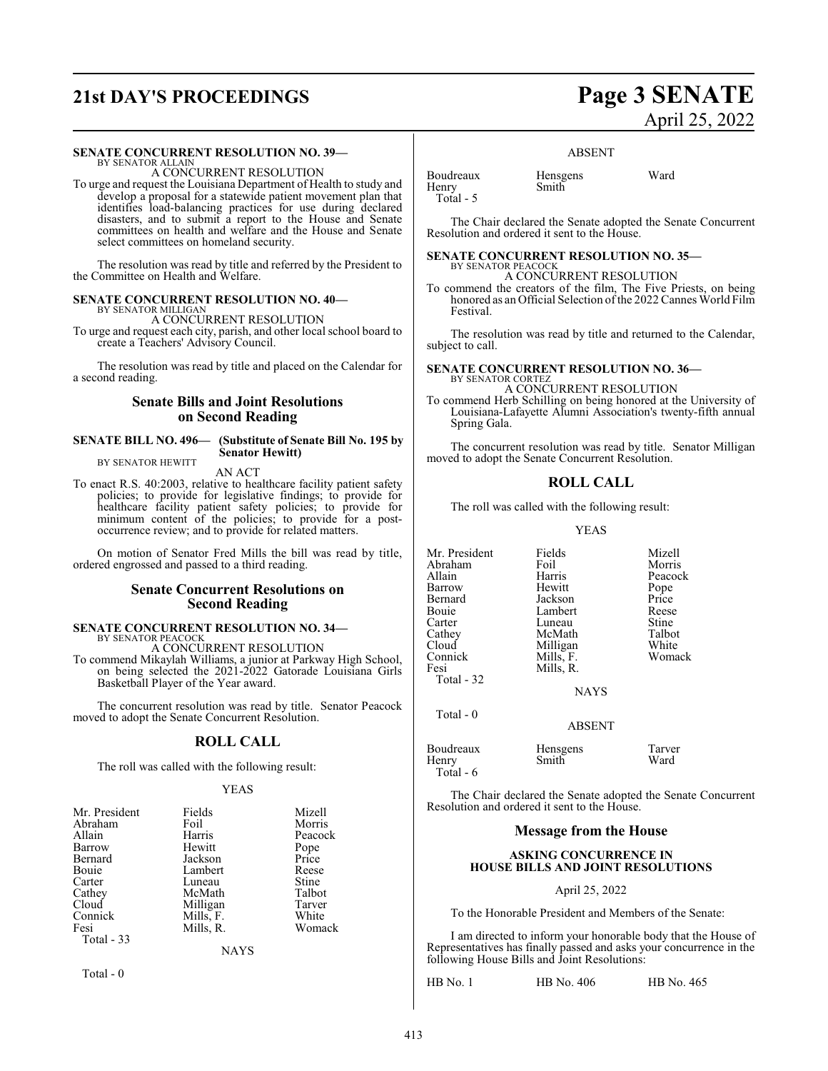## **21st DAY'S PROCEEDINGS Page 3 SENATE**

#### **SENATE CONCURRENT RESOLUTION NO. 39—**

BY SENATOR ALLAIN A CONCURRENT RESOLUTION

To urge and request the Louisiana Department of Health to study and develop a proposal for a statewide patient movement plan that identifies load-balancing practices for use during declared disasters, and to submit a report to the House and Senate committees on health and welfare and the House and Senate select committees on homeland security.

The resolution was read by title and referred by the President to the Committee on Health and Welfare.

#### **SENATE CONCURRENT RESOLUTION NO. 40—** BY SENATOR MILLIGAN

A CONCURRENT RESOLUTION

To urge and request each city, parish, and other local school board to create a Teachers' Advisory Council.

The resolution was read by title and placed on the Calendar for a second reading.

#### **Senate Bills and Joint Resolutions on Second Reading**

#### **SENATE BILL NO. 496— (Substitute of Senate Bill No. 195 by Senator Hewitt)**

BY SENATOR HEWITT

AN ACT

To enact R.S. 40:2003, relative to healthcare facility patient safety policies; to provide for legislative findings; to provide for healthcare facility patient safety policies; to provide for minimum content of the policies; to provide for a postoccurrence review; and to provide for related matters.

On motion of Senator Fred Mills the bill was read by title, ordered engrossed and passed to a third reading.

#### **Senate Concurrent Resolutions on Second Reading**

#### **SENATE CONCURRENT RESOLUTION NO. 34—** BY SENATOR PEACOCK

A CONCURRENT RESOLUTION

To commend Mikaylah Williams, a junior at Parkway High School, on being selected the 2021-2022 Gatorade Louisiana Girls Basketball Player of the Year award.

The concurrent resolution was read by title. Senator Peacock moved to adopt the Senate Concurrent Resolution.

#### **ROLL CALL**

The roll was called with the following result:

#### YEAS

| Mr. President | Fields             | Mizell |
|---------------|--------------------|--------|
| Abraham       | Foil               | Morris |
| Allain        | Harris<br>Peacock  |        |
| Barrow        | Hewitt             | Pope   |
| Bernard       | Jackson            | Price  |
| Bouie         | Lambert            | Reese  |
| Carter        | Luneau             | Stine  |
| Cathey        | McMath             | Talbot |
| Cloud         | Milligan<br>Tarver |        |
| Connick       | Mills, F.          | White  |
| Fesi          | Mills, R.          | Womack |
| Total - 33    |                    |        |
|               | <b>NAYS</b>        |        |

Total - 0

# April 25, 2022

ABSENT

Boudreaux Hensgens Ward<br>
Henry Smith Henry Total - 5

The Chair declared the Senate adopted the Senate Concurrent Resolution and ordered it sent to the House.

### **SENATE CONCURRENT RESOLUTION NO. 35—**

BY SENATOR PEACOCK A CONCURRENT RESOLUTION

To commend the creators of the film, The Five Priests, on being honored as an Official Selection of the 2022 Cannes World Film Festival.

The resolution was read by title and returned to the Calendar, subject to call.

### **SENATE CONCURRENT RESOLUTION NO. 36—** BY SENATOR CORTEZ

A CONCURRENT RESOLUTION

To commend Herb Schilling on being honored at the University of Louisiana-Lafayette Alumni Association's twenty-fifth annual Spring Gala.

The concurrent resolution was read by title. Senator Milligan moved to adopt the Senate Concurrent Resolution.

#### **ROLL CALL**

The roll was called with the following result:

YEAS

| Mr. President | Fields      | Mizell  |
|---------------|-------------|---------|
| Abraham       | Foil        | Morris  |
| Allain        | Harris      | Peacock |
| Barrow        | Hewitt      | Pope    |
| Bernard       | Jackson     | Price   |
| Bouie         | Lambert     | Reese   |
| Carter        | Luneau      | Stine   |
| Cathey        | McMath      | Talbot  |
| Cloud         | Milligan    | White   |
| Connick       | Mills, F.   | Womack  |
| Fesi          | Mills, R.   |         |
| Total - 32    |             |         |
|               | <b>NAYS</b> |         |
| Total - 0     |             |         |

|                                  | <b>ABSENT</b>     |                |
|----------------------------------|-------------------|----------------|
| Boudreaux<br>Henry<br>Total $-6$ | Hensgens<br>Smith | Tarver<br>Ward |

The Chair declared the Senate adopted the Senate Concurrent Resolution and ordered it sent to the House.

#### **Message from the House**

#### **ASKING CONCURRENCE IN HOUSE BILLS AND JOINT RESOLUTIONS**

#### April 25, 2022

To the Honorable President and Members of the Senate:

I am directed to inform your honorable body that the House of Representatives has finally passed and asks your concurrence in the following House Bills and Joint Resolutions:

HB No. 1 HB No. 406 HB No. 465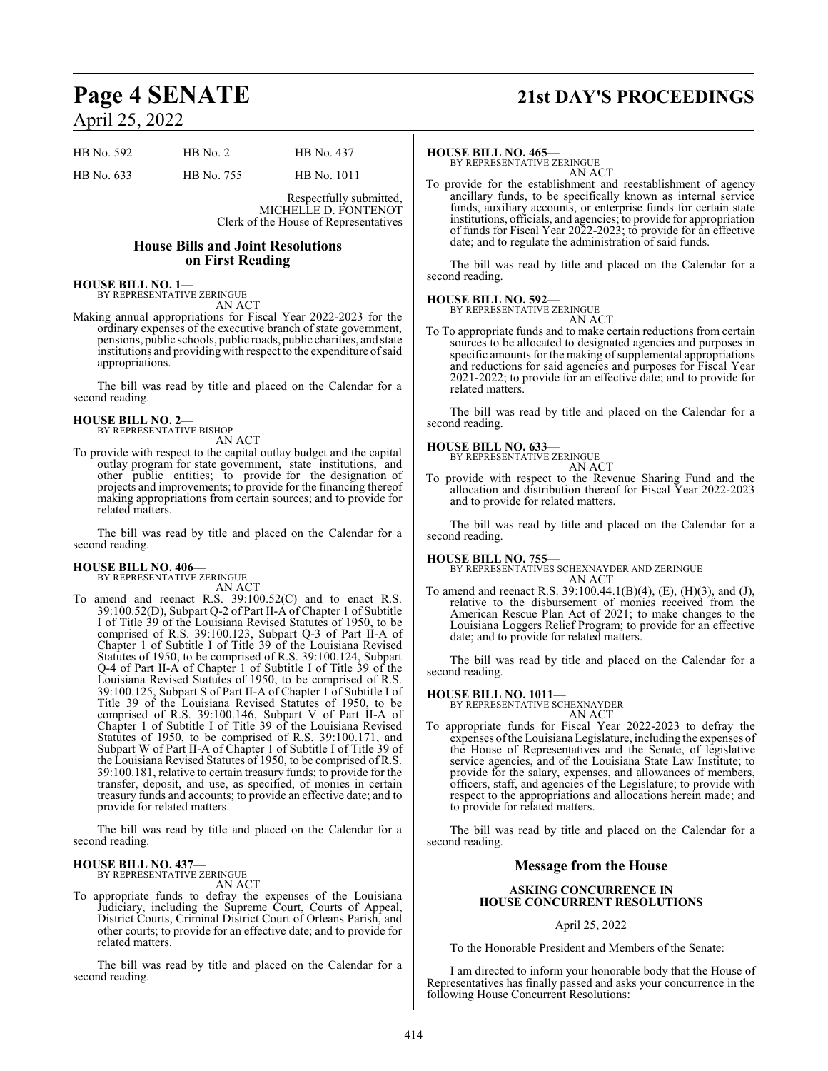# April 25, 2022

| HB No. 592 | $HB$ No. 2 | HB No. 437  |
|------------|------------|-------------|
| HB No. 633 | HB No. 755 | HB No. 1011 |

Respectfully submitted, MICHELLE D. FONTENOT Clerk of the House of Representatives

#### **House Bills and Joint Resolutions on First Reading**

#### **HOUSE BILL NO. 1—**

BY REPRESENTATIVE ZERINGUE AN ACT

Making annual appropriations for Fiscal Year 2022-2023 for the ordinary expenses of the executive branch of state government, pensions, public schools, public roads, public charities, and state institutions and providing with respect to the expenditure of said appropriations.

The bill was read by title and placed on the Calendar for a second reading.

### **HOUSE BILL NO. 2—** BY REPRESENTATIVE BISHOP

AN ACT

To provide with respect to the capital outlay budget and the capital outlay program for state government, state institutions, and other public entities; to provide for the designation of projects and improvements; to provide for the financing thereof making appropriations from certain sources; and to provide for related matters.

The bill was read by title and placed on the Calendar for a second reading.

#### **HOUSE BILL NO. 406—**

BY REPRESENTATIVE ZERINGUE

AN ACT To amend and reenact R.S. 39:100.52(C) and to enact R.S. 39:100.52(D), Subpart Q-2 of Part II-A of Chapter 1 of Subtitle I of Title 39 of the Louisiana Revised Statutes of 1950, to be comprised of R.S. 39:100.123, Subpart Q-3 of Part II-A of Chapter 1 of Subtitle I of Title 39 of the Louisiana Revised Statutes of 1950, to be comprised of R.S. 39:100.124, Subpart Q-4 of Part II-A of Chapter 1 of Subtitle I of Title 39 of the Louisiana Revised Statutes of 1950, to be comprised of R.S. 39:100.125, Subpart S of Part II-A of Chapter 1 of Subtitle I of Title 39 of the Louisiana Revised Statutes of 1950, to be comprised of R.S. 39:100.146, Subpart V of Part II-A of Chapter 1 of Subtitle I of Title 39 of the Louisiana Revised Statutes of 1950, to be comprised of R.S. 39:100.171, and Subpart W of Part II-A of Chapter 1 of Subtitle I of Title 39 of the Louisiana Revised Statutes of 1950, to be comprised of R.S. 39:100.181, relative to certain treasury funds; to provide for the transfer, deposit, and use, as specified, of monies in certain treasury funds and accounts; to provide an effective date; and to provide for related matters.

The bill was read by title and placed on the Calendar for a second reading.

#### **HOUSE BILL NO. 437—** BY REPRESENTATIVE ZERINGUE

AN ACT

To appropriate funds to defray the expenses of the Louisiana Judiciary, including the Supreme Court, Courts of Appeal, District Courts, Criminal District Court of Orleans Parish, and other courts; to provide for an effective date; and to provide for related matters.

The bill was read by title and placed on the Calendar for a second reading.

### **Page 4 SENATE 21st DAY'S PROCEEDINGS**

#### **HOUSE BILL NO. 465—**

BY REPRESENTATIVE ZERINGUE AN ACT

To provide for the establishment and reestablishment of agency ancillary funds, to be specifically known as internal service funds, auxiliary accounts, or enterprise funds for certain state institutions, officials, and agencies; to provide for appropriation of funds for Fiscal Year 2022-2023; to provide for an effective date; and to regulate the administration of said funds.

The bill was read by title and placed on the Calendar for a second reading.

#### **HOUSE BILL NO. 592—**

BY REPRESENTATIVE ZERINGUE

AN ACT To To appropriate funds and to make certain reductions from certain sources to be allocated to designated agencies and purposes in specific amounts for the making of supplemental appropriations and reductions for said agencies and purposes for Fiscal Year 2021-2022; to provide for an effective date; and to provide for related matters.

The bill was read by title and placed on the Calendar for a second reading.

#### **HOUSE BILL NO. 633—**

BY REPRESENTATIVE ZERINGUE

AN ACT

To provide with respect to the Revenue Sharing Fund and the allocation and distribution thereof for Fiscal Year 2022-2023 and to provide for related matters.

The bill was read by title and placed on the Calendar for a second reading.

**HOUSE BILL NO. 755—** BY REPRESENTATIVES SCHEXNAYDER AND ZERINGUE AN ACT

To amend and reenact R.S. 39:100.44.1(B)(4), (E), (H)(3), and (J), relative to the disbursement of monies received from the American Rescue Plan Act of 2021; to make changes to the Louisiana Loggers Relief Program; to provide for an effective date; and to provide for related matters.

The bill was read by title and placed on the Calendar for a second reading.

#### **HOUSE BILL NO. 1011—**

BY REPRESENTATIVE SCHEXNAYDER

- AN ACT
- To appropriate funds for Fiscal Year 2022-2023 to defray the expenses ofthe Louisiana Legislature, including the expenses of the House of Representatives and the Senate, of legislative service agencies, and of the Louisiana State Law Institute; to provide for the salary, expenses, and allowances of members, officers, staff, and agencies of the Legislature; to provide with respect to the appropriations and allocations herein made; and to provide for related matters.

The bill was read by title and placed on the Calendar for a second reading.

#### **Message from the House**

#### **ASKING CONCURRENCE IN HOUSE CONCURRENT RESOLUTIONS**

#### April 25, 2022

To the Honorable President and Members of the Senate:

I am directed to inform your honorable body that the House of Representatives has finally passed and asks your concurrence in the following House Concurrent Resolutions: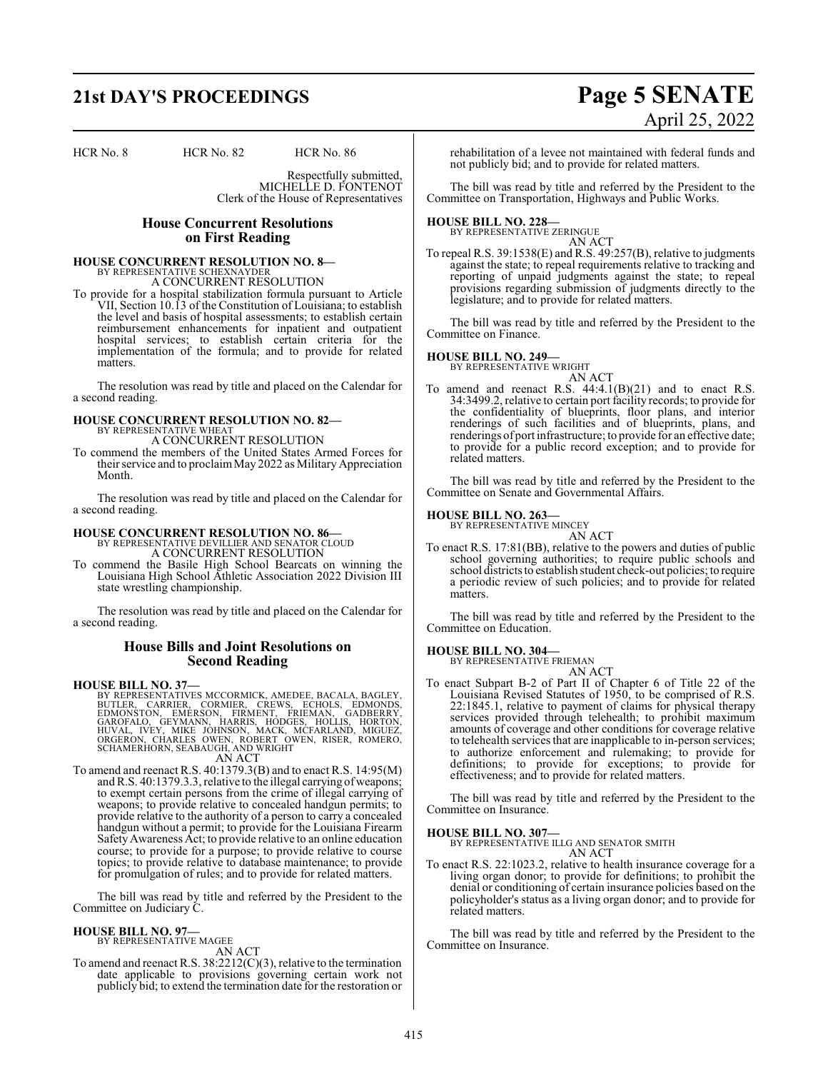# **21st DAY'S PROCEEDINGS Page 5 SENATE**

HCR No. 8 HCR No. 82 HCR No. 86

Respectfully submitted, MICHELLE D. FONTENOT Clerk of the House of Representatives

#### **House Concurrent Resolutions on First Reading**

# **HOUSE CONCURRENT RESOLUTION NO. 8—** BY REPRESENTATIVE SCHEXNAYDER

A CONCURRENT RESOLUTION

To provide for a hospital stabilization formula pursuant to Article VII, Section 10.13 of the Constitution of Louisiana; to establish the level and basis of hospital assessments; to establish certain reimbursement enhancements for inpatient and outpatient hospital services; to establish certain criteria for the implementation of the formula; and to provide for related matters.

The resolution was read by title and placed on the Calendar for a second reading.

#### **HOUSE CONCURRENT RESOLUTION NO. 82—** BY REPRESENTATIVE WHEAT

A CONCURRENT RESOLUTION

To commend the members of the United States Armed Forces for their service and to proclaimMay 2022 as Military Appreciation Month.

The resolution was read by title and placed on the Calendar for a second reading.

## **HOUSE CONCURRENT RESOLUTION NO. 86—** BY REPRESENTATIVE DEVILLIER AND SENATOR CLOUD

A CONCURRENT RESOLUTION

To commend the Basile High School Bearcats on winning the Louisiana High School Athletic Association 2022 Division III state wrestling championship.

The resolution was read by title and placed on the Calendar for a second reading.

#### **House Bills and Joint Resolutions on Second Reading**

**HOUSE BILL NO. 37—**

BY REPRESENTATIVES MCCORMICK, AMEDEE, BACALA, BAGLEY,<br>BUTLER, CARRIER, CORMIER, CREWS, ECHOLS, EDMONSTON, EMERSON, FIRMENT, FRIEMAN, GADBERRY,<br>GAROFALO, GEYMANN, HARRIS, HODGES, HOLLI AN ACT

To amend and reenact R.S. 40:1379.3(B) and to enact R.S. 14:95(M) and R.S. 40:1379.3.3, relative to the illegal carrying of weapons; to exempt certain persons from the crime of illegal carrying of weapons; to provide relative to concealed handgun permits; to provide relative to the authority of a person to carry a concealed handgun without a permit; to provide for the Louisiana Firearm SafetyAwareness Act; to provide relative to an online education course; to provide for a purpose; to provide relative to course topics; to provide relative to database maintenance; to provide for promulgation of rules; and to provide for related matters.

The bill was read by title and referred by the President to the Committee on Judiciary C.

#### **HOUSE BILL NO. 97—** BY REPRESENTATIVE MAGEE

AN ACT

To amend and reenact R.S. 38:2212(C)(3), relative to the termination date applicable to provisions governing certain work not publicly bid; to extend the termination date for the restoration or

# April 25, 2022

rehabilitation of a levee not maintained with federal funds and not publicly bid; and to provide for related matters.

The bill was read by title and referred by the President to the Committee on Transportation, Highways and Public Works.

**HOUSE BILL NO. 228—** BY REPRESENTATIVE ZERINGUE

AN ACT To repeal R.S. 39:1538(E) and R.S. 49:257(B), relative to judgments against the state; to repeal requirements relative to tracking and

reporting of unpaid judgments against the state; to repeal provisions regarding submission of judgments directly to the legislature; and to provide for related matters.

The bill was read by title and referred by the President to the Committee on Finance.

#### **HOUSE BILL NO. 249—**

BY REPRESENTATIVE WRIGHT AN ACT

To amend and reenact R.S. 44:4.1(B)(21) and to enact R.S. 34:3499.2, relative to certain port facility records; to provide for the confidentiality of blueprints, floor plans, and interior renderings of such facilities and of blueprints, plans, and renderings of port infrastructure; to provide for an effective date; to provide for a public record exception; and to provide for related matters.

The bill was read by title and referred by the President to the Committee on Senate and Governmental Affairs.

#### **HOUSE BILL NO. 263—**

BY REPRESENTATIVE MINCEY AN ACT

To enact R.S. 17:81(BB), relative to the powers and duties of public school governing authorities; to require public schools and school districts to establish student check-out policies; to require a periodic review of such policies; and to provide for related matters.

The bill was read by title and referred by the President to the Committee on Education.

### **HOUSE BILL NO. 304—** BY REPRESENTATIVE FRIEMAN

AN ACT

To enact Subpart B-2 of Part II of Chapter 6 of Title 22 of the Louisiana Revised Statutes of 1950, to be comprised of R.S. 22:1845.1, relative to payment of claims for physical therapy services provided through telehealth; to prohibit maximum amounts of coverage and other conditions for coverage relative to telehealth services that are inapplicable to in-person services; to authorize enforcement and rulemaking; to provide for definitions; to provide for exceptions; to provide for effectiveness; and to provide for related matters.

The bill was read by title and referred by the President to the Committee on Insurance.

**HOUSE BILL NO. 307—**

BY REPRESENTATIVE ILLG AND SENATOR SMITH AN ACT

To enact R.S. 22:1023.2, relative to health insurance coverage for a living organ donor; to provide for definitions; to prohibit the denial or conditioning of certain insurance policies based on the policyholder's status as a living organ donor; and to provide for related matters.

The bill was read by title and referred by the President to the Committee on Insurance.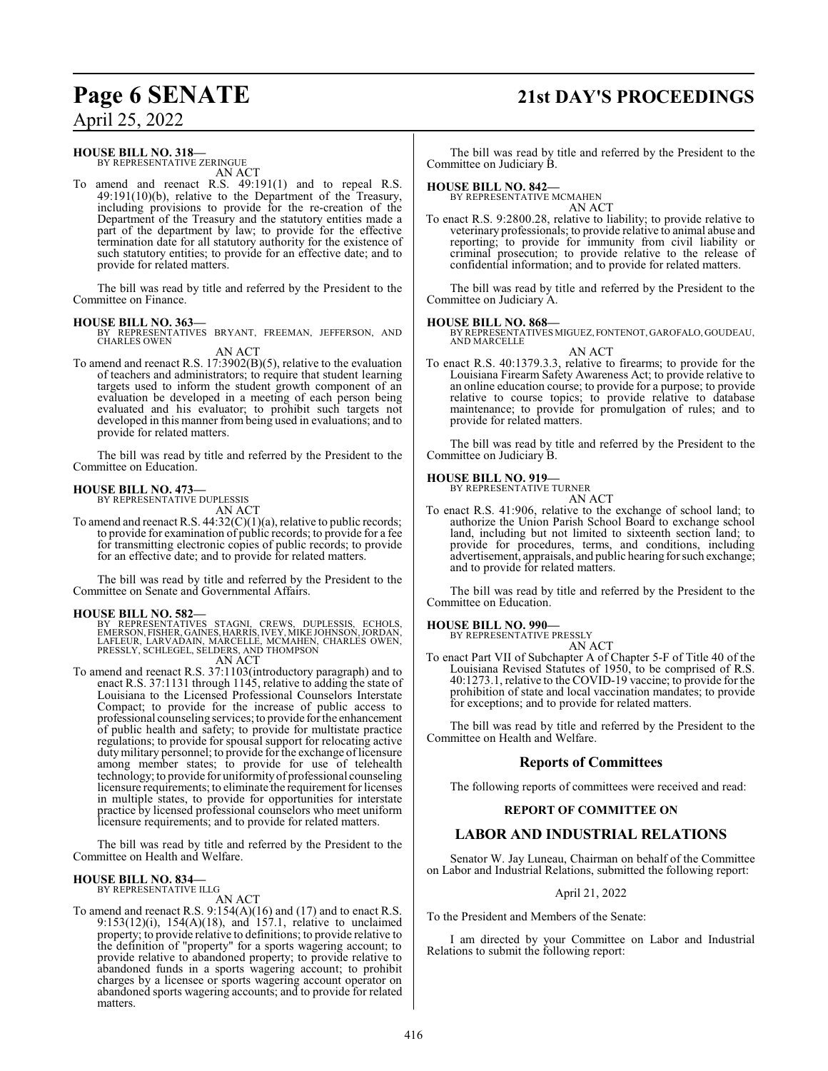## **Page 6 SENATE 21st DAY'S PROCEEDINGS**

April 25, 2022

#### **HOUSE BILL NO. 318—**

BY REPRESENTATIVE ZERINGUE AN ACT

To amend and reenact R.S. 49:191(1) and to repeal R.S. 49:191(10)(b), relative to the Department of the Treasury, including provisions to provide for the re-creation of the Department of the Treasury and the statutory entities made a part of the department by law; to provide for the effective termination date for all statutory authority for the existence of such statutory entities; to provide for an effective date; and to provide for related matters.

The bill was read by title and referred by the President to the Committee on Finance.

**HOUSE BILL NO. 363—** BY REPRESENTATIVES BRYANT, FREEMAN, JEFFERSON, AND CHARLES OWEN

AN ACT

To amend and reenact R.S. 17:3902(B)(5), relative to the evaluation of teachers and administrators; to require that student learning targets used to inform the student growth component of an evaluation be developed in a meeting of each person being evaluated and his evaluator; to prohibit such targets not developed in this manner from being used in evaluations; and to provide for related matters.

The bill was read by title and referred by the President to the Committee on Education.

#### **HOUSE BILL NO. 473—** BY REPRESENTATIVE DUPLESSIS

AN ACT

To amend and reenact R.S. 44:32(C)(1)(a), relative to public records; to provide for examination of public records; to provide for a fee for transmitting electronic copies of public records; to provide for an effective date; and to provide for related matters.

The bill was read by title and referred by the President to the Committee on Senate and Governmental Affairs.

#### **HOUSE BILL NO. 582—**

BY REPRESENTATIVES STAGNI, CREWS, DUPLESSIS, ECHOLS,<br>EMERSON,FISHER,GAINES,HARRIS,IVEY,MIKEJOHNSON,JORDAN,<br>LAFLEUR,LARVADAIN,MARCELLE,MCMAHEN,CHARLES OWEN,<br>PRESSLY,SCHLEGEL,SELDERS,ANDTHOMPSON

AN ACT

To amend and reenact R.S. 37:1103(introductory paragraph) and to enact R.S. 37:1131 through 1145, relative to adding the state of Louisiana to the Licensed Professional Counselors Interstate Compact; to provide for the increase of public access to professional counseling services; to provide for the enhancement of public health and safety; to provide for multistate practice regulations; to provide for spousal support for relocating active duty military personnel; to provide for the exchange of licensure among member states; to provide for use of telehealth technology; to provide for uniformityof professional counseling licensure requirements; to eliminate the requirement for licenses in multiple states, to provide for opportunities for interstate practice by licensed professional counselors who meet uniform licensure requirements; and to provide for related matters.

The bill was read by title and referred by the President to the Committee on Health and Welfare.

### **HOUSE BILL NO. 834—** BY REPRESENTATIVE ILLG

AN ACT

To amend and reenact R.S. 9:154(A)(16) and (17) and to enact R.S. 9:153(12)(i), 154(A)(18), and 157.1, relative to unclaimed property; to provide relative to definitions; to provide relative to the definition of "property" for a sports wagering account; to provide relative to abandoned property; to provide relative to abandoned funds in a sports wagering account; to prohibit charges by a licensee or sports wagering account operator on abandoned sports wagering accounts; and to provide for related matters.

The bill was read by title and referred by the President to the Committee on Judiciary B.

#### **HOUSE BILL NO. 842—**

BY REPRESENTATIVE MCMAHEN AN ACT

To enact R.S. 9:2800.28, relative to liability; to provide relative to veterinary professionals; to provide relative to animal abuse and reporting; to provide for immunity from civil liability or criminal prosecution; to provide relative to the release of confidential information; and to provide for related matters.

The bill was read by title and referred by the President to the Committee on Judiciary A.

**HOUSE BILL NO. 868—** BY REPRESENTATIVES MIGUEZ, FONTENOT, GAROFALO, GOUDEAU, AND MARCELLE AN ACT

To enact R.S. 40:1379.3.3, relative to firearms; to provide for the Louisiana Firearm Safety Awareness Act; to provide relative to an online education course; to provide for a purpose; to provide relative to course topics; to provide relative to database maintenance; to provide for promulgation of rules; and to provide for related matters.

The bill was read by title and referred by the President to the Committee on Judiciary B.

#### **HOUSE BILL NO. 919—** BY REPRESENTATIVE TURNER



To enact R.S. 41:906, relative to the exchange of school land; to authorize the Union Parish School Board to exchange school land, including but not limited to sixteenth section land; to provide for procedures, terms, and conditions, including advertisement, appraisals, and public hearing for such exchange; and to provide for related matters.

The bill was read by title and referred by the President to the Committee on Education.

**HOUSE BILL NO. 990—**

BY REPRESENTATIVE PRESSLY AN ACT

To enact Part VII of Subchapter A of Chapter 5-F of Title 40 of the Louisiana Revised Statutes of 1950, to be comprised of R.S. 40:1273.1, relative to the COVID-19 vaccine; to provide for the prohibition of state and local vaccination mandates; to provide for exceptions; and to provide for related matters.

The bill was read by title and referred by the President to the Committee on Health and Welfare.

#### **Reports of Committees**

The following reports of committees were received and read:

#### **REPORT OF COMMITTEE ON**

#### **LABOR AND INDUSTRIAL RELATIONS**

Senator W. Jay Luneau, Chairman on behalf of the Committee on Labor and Industrial Relations, submitted the following report:

#### April 21, 2022

To the President and Members of the Senate:

I am directed by your Committee on Labor and Industrial Relations to submit the following report: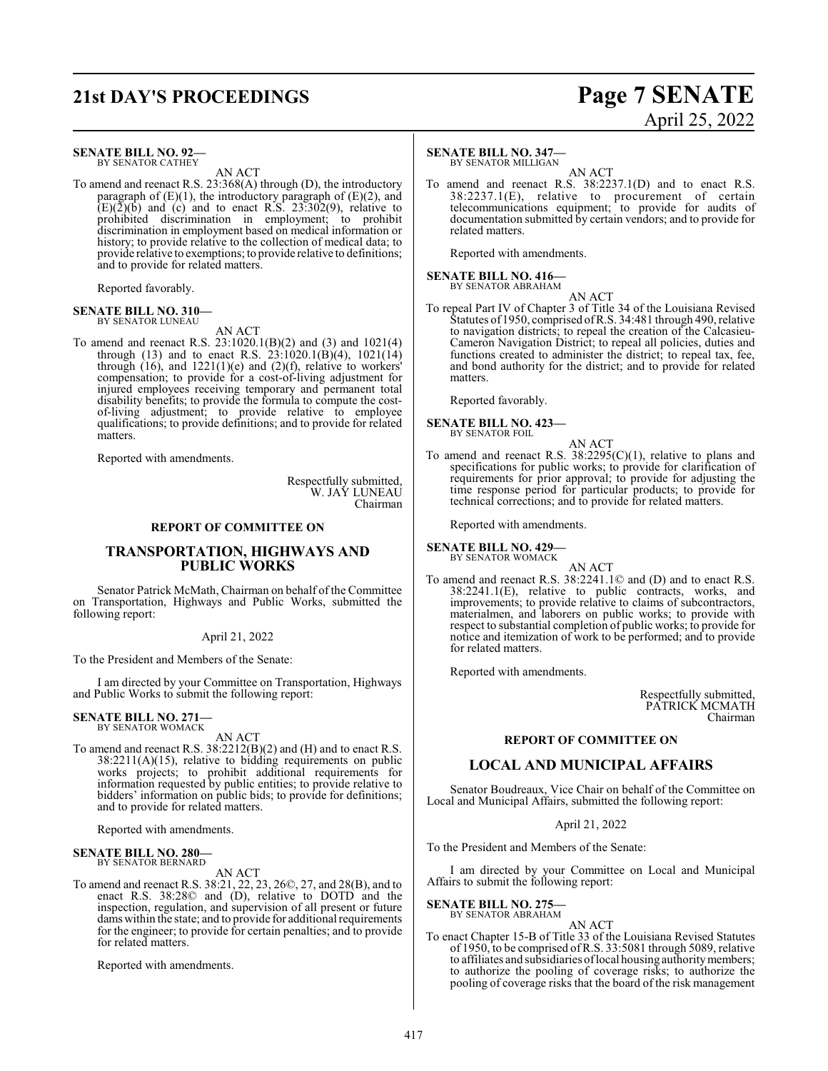### **21st DAY'S PROCEEDINGS Page 7 SENATE**

#### **SENATE BILL NO. 92—**

BY SENATOR CATHEY AN ACT

To amend and reenact R.S. 23:368(A) through (D), the introductory paragraph of  $(E)(1)$ , the introductory paragraph of  $(E)(2)$ , and  $(E)(\overline{2})(\overline{b})$  and (c) and to enact R.S. 23:302(9), relative to prohibited discrimination in employment; to prohibit discrimination in employment based on medical information or history; to provide relative to the collection of medical data; to provide relative to exemptions; to provide relative to definitions; and to provide for related matters.

Reported favorably.

#### **SENATE BILL NO. 310—** BY SENATOR LUNEAU

AN ACT

To amend and reenact R.S. 23:1020.1(B)(2) and (3) and 1021(4) through (13) and to enact R.S.  $23:1020.1(B)(4)$ ,  $1021(14)$ through  $(16)$ , and  $1221(1)(e)$  and  $(2)(f)$ , relative to workers' compensation; to provide for a cost-of-living adjustment for injured employees receiving temporary and permanent total disability benefits; to provide the formula to compute the costof-living adjustment; to provide relative to employee qualifications; to provide definitions; and to provide for related matters.

Reported with amendments.

Respectfully submitted, W. JAY LUNEAU Chairman

#### **REPORT OF COMMITTEE ON**

#### **TRANSPORTATION, HIGHWAYS AND PUBLIC WORKS**

Senator Patrick McMath, Chairman on behalf of the Committee on Transportation, Highways and Public Works, submitted the following report:

#### April 21, 2022

To the President and Members of the Senate:

I am directed by your Committee on Transportation, Highways and Public Works to submit the following report:

#### **SENATE BILL NO. 271** BY SENATOR WOMACK

### AN ACT

To amend and reenact R.S. 38:2212(B)(2) and (H) and to enact R.S. 38:2211(A)(15), relative to bidding requirements on public works projects; to prohibit additional requirements for information requested by public entities; to provide relative to bidders' information on public bids; to provide for definitions; and to provide for related matters.

Reported with amendments.

#### **SENATE BILL NO. 280—** BY SENATOR BERNARD

AN ACT

To amend and reenact R.S. 38:21, 22, 23, 26©, 27, and 28(B), and to enact R.S. 38:28© and (D), relative to DOTD and the inspection, regulation, and supervision of all present or future dams within the state; and to provide for additional requirements for the engineer; to provide for certain penalties; and to provide for related matters.

Reported with amendments.

# April 25, 2022

#### **SENATE BILL NO. 347—**

BY SENATOR MILLIGAN

AN ACT To amend and reenact R.S. 38:2237.1(D) and to enact R.S. 38:2237.1(E), relative to procurement of certain telecommunications equipment; to provide for audits of documentation submitted by certain vendors; and to provide for related matters.

Reported with amendments.

#### **SENATE BILL NO. 416—** BY SENATOR ABRAHAM

AN ACT To repeal Part IV of Chapter 3 of Title 34 of the Louisiana Revised Statutes of 1950, comprised ofR.S. 34:481 through 490, relative to navigation districts; to repeal the creation of the Calcasieu-Cameron Navigation District; to repeal all policies, duties and functions created to administer the district; to repeal tax, fee, and bond authority for the district; and to provide for related matters.

Reported favorably.

**SENATE BILL NO. 423—** BY SENATOR FOIL

AN ACT

To amend and reenact R.S.  $38:2295(C)(1)$ , relative to plans and specifications for public works; to provide for clarification of requirements for prior approval; to provide for adjusting the time response period for particular products; to provide for technical corrections; and to provide for related matters.

Reported with amendments.

### **SENATE BILL NO. 429—** BY SENATOR WOMACK

AN ACT

To amend and reenact R.S. 38:2241.1© and (D) and to enact R.S. 38:2241.1(E), relative to public contracts, works, and improvements; to provide relative to claims of subcontractors, materialmen, and laborers on public works; to provide with respect to substantial completion of public works; to provide for notice and itemization of work to be performed; and to provide for related matters.

Reported with amendments.

Respectfully submitted, PATRICK MCMATH Chairman

#### **REPORT OF COMMITTEE ON**

### **LOCAL AND MUNICIPAL AFFAIRS**

Senator Boudreaux, Vice Chair on behalf of the Committee on Local and Municipal Affairs, submitted the following report:

#### April 21, 2022

To the President and Members of the Senate:

I am directed by your Committee on Local and Municipal Affairs to submit the following report:

### **SENATE BILL NO. 275—** BY SENATOR ABRAHAM

AN ACT

To enact Chapter 15-B of Title 33 of the Louisiana Revised Statutes of 1950, to be comprised ofR.S. 33:5081 through 5089, relative to affiliates and subsidiaries oflocal housing authoritymembers; to authorize the pooling of coverage risks; to authorize the pooling of coverage risks that the board of the risk management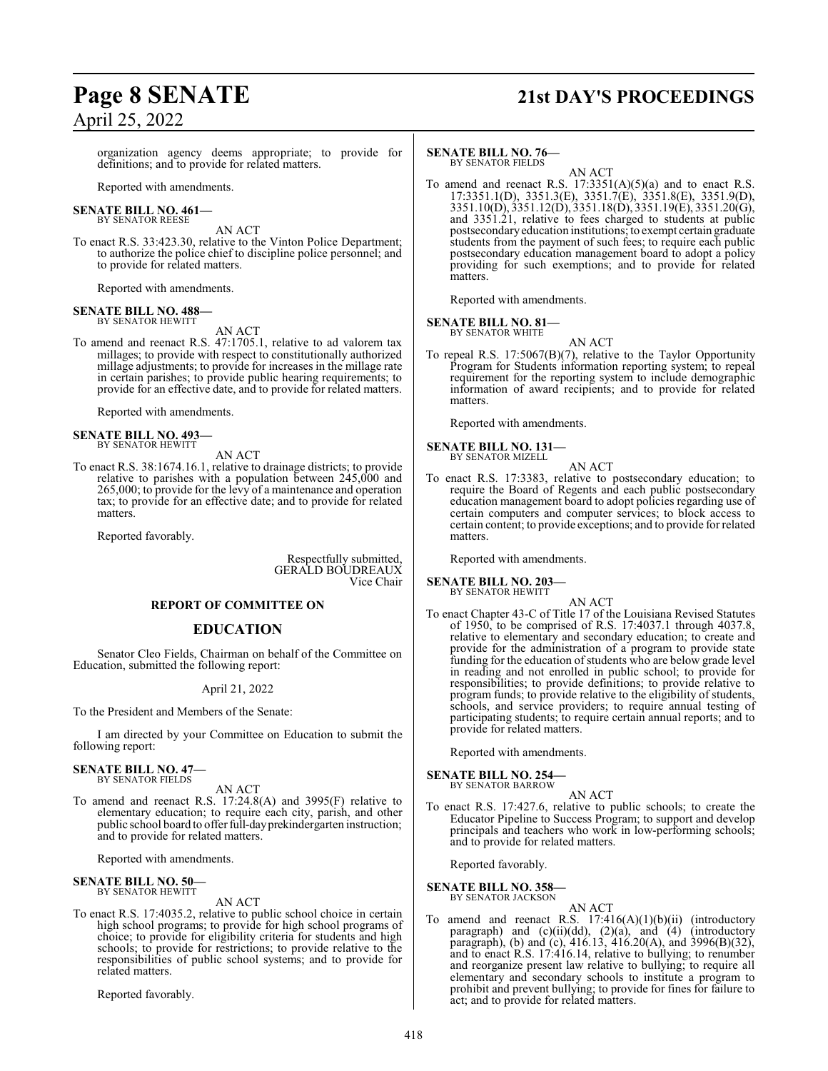# April 25, 2022

## **Page 8 SENATE 21st DAY'S PROCEEDINGS**

organization agency deems appropriate; to provide for definitions; and to provide for related matters.

Reported with amendments.

#### **SENATE BILL NO. 461—** BY SENATOR REESE

AN ACT

To enact R.S. 33:423.30, relative to the Vinton Police Department; to authorize the police chief to discipline police personnel; and to provide for related matters.

Reported with amendments.

#### **SENATE BILL NO. 488—** BY SENATOR HEWITT

AN ACT

To amend and reenact R.S. 47:1705.1, relative to ad valorem tax millages; to provide with respect to constitutionally authorized millage adjustments; to provide for increases in the millage rate in certain parishes; to provide public hearing requirements; to provide for an effective date, and to provide for related matters.

Reported with amendments.

#### **SENATE BILL NO. 493—** BY SENATOR HEWITT

AN ACT

To enact R.S. 38:1674.16.1, relative to drainage districts; to provide relative to parishes with a population between 245,000 and 265,000; to provide for the levy of a maintenance and operation tax; to provide for an effective date; and to provide for related matters.

Reported favorably.

Respectfully submitted, GERALD BOUDREAUX Vice Chair

#### **REPORT OF COMMITTEE ON**

#### **EDUCATION**

Senator Cleo Fields, Chairman on behalf of the Committee on Education, submitted the following report:

#### April 21, 2022

To the President and Members of the Senate:

I am directed by your Committee on Education to submit the following report:

#### **SENATE BILL NO. 47—** BY SENATOR FIELDS

AN ACT

To amend and reenact R.S. 17:24.8(A) and 3995(F) relative to elementary education; to require each city, parish, and other public school board to offer full-dayprekindergarten instruction; and to provide for related matters.

Reported with amendments.

#### **SENATE BILL NO. 50—** BY SENATOR HEWITT

AN ACT

To enact R.S. 17:4035.2, relative to public school choice in certain high school programs; to provide for high school programs of choice; to provide for eligibility criteria for students and high schools; to provide for restrictions; to provide relative to the responsibilities of public school systems; and to provide for related matters.

Reported favorably.

#### **SENATE BILL NO. 76—** BY SENATOR FIELDS

AN ACT

To amend and reenact R.S.  $17:3351(A)(5)(a)$  and to enact R.S. 17:3351.1(D), 3351.3(E), 3351.7(E), 3351.8(E), 3351.9(D), 3351.10(D), 3351.12(D), 3351.18(D), 3351.19(E), 3351.20(G), and 3351.21, relative to fees charged to students at public postsecondaryeducation institutions; to exempt certain graduate students from the payment of such fees; to require each public postsecondary education management board to adopt a policy providing for such exemptions; and to provide for related matters.

Reported with amendments.

### **SENATE BILL NO. 81—**<br>BY SENATOR WHITE

AN ACT To repeal R.S. 17:5067(B)(7), relative to the Taylor Opportunity Program for Students information reporting system; to repeal requirement for the reporting system to include demographic information of award recipients; and to provide for related matters.

Reported with amendments.

#### **SENATE BILL NO. 131—** BY SENATOR MIZELL

AN ACT

To enact R.S. 17:3383, relative to postsecondary education; to require the Board of Regents and each public postsecondary education management board to adopt policies regarding use of certain computers and computer services; to block access to certain content; to provide exceptions; and to provide for related matters.

Reported with amendments.

#### **SENATE BILL NO. 203—**

BY SENATOR HEWITT

AN ACT To enact Chapter 43-C of Title 17 of the Louisiana Revised Statutes of 1950, to be comprised of R.S. 17:4037.1 through 4037.8, relative to elementary and secondary education; to create and provide for the administration of a program to provide state funding for the education of students who are below grade level in reading and not enrolled in public school; to provide for responsibilities; to provide definitions; to provide relative to program funds; to provide relative to the eligibility of students, schools, and service providers; to require annual testing of participating students; to require certain annual reports; and to provide for related matters.

Reported with amendments.

#### **SENATE BILL NO. 254** BY SENATOR BARROW

AN ACT

To enact R.S. 17:427.6, relative to public schools; to create the Educator Pipeline to Success Program; to support and develop principals and teachers who work in low-performing schools; and to provide for related matters.

Reported favorably.

#### **SENATE BILL NO. 358—** BY SENATOR JACKSON

AN ACT

To amend and reenact R.S.  $17:416(A)(1)(b)(ii)$  (introductory paragraph) and  $(c)(ii)(dd)$ ,  $(2)(a)$ , and  $(4)$  (introductory paragraph), (b) and (c), 416.13, 416.20(A), and 3996(B)(32), and to enact R.S. 17:416.14, relative to bullying; to renumber and reorganize present law relative to bullying; to require all elementary and secondary schools to institute a program to prohibit and prevent bullying; to provide for fines for failure to act; and to provide for related matters.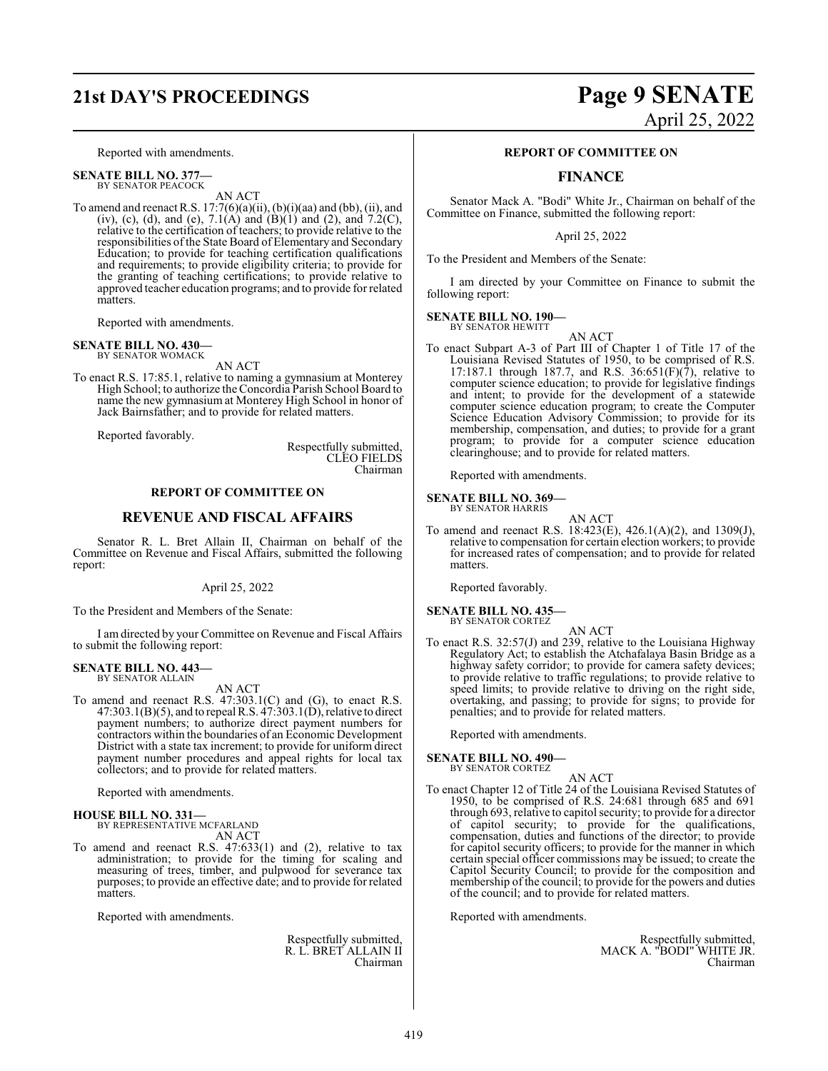## **21st DAY'S PROCEEDINGS Page 9 SENATE**

Reported with amendments.

**SENATE BILL NO. 377—** BY SENATOR PEACOCK

AN ACT

To amend and reenact R.S.  $17:7(6)(a)(ii)$ ,  $(b)(i)(aa)$  and  $(bb)$ ,  $(ii)$ , and (iv), (c), (d), and (e),  $7.1(A)$  and  $(B)(1)$  and  $(2)$ , and  $7.2(C)$ , relative to the certification of teachers; to provide relative to the responsibilities of the State Board of Elementary and Secondary Education; to provide for teaching certification qualifications and requirements; to provide eligibility criteria; to provide for the granting of teaching certifications; to provide relative to approved teacher education programs; and to provide for related matters.

Reported with amendments.

#### **SENATE BILL NO. 430—** BY SENATOR WOMACK

AN ACT

To enact R.S. 17:85.1, relative to naming a gymnasium at Monterey High School; to authorize the Concordia Parish School Board to name the new gymnasium at Monterey High School in honor of Jack Bairnsfather; and to provide for related matters.

Reported favorably.

Respectfully submitted, CLEO FIELDS Chairman

#### **REPORT OF COMMITTEE ON**

#### **REVENUE AND FISCAL AFFAIRS**

Senator R. L. Bret Allain II, Chairman on behalf of the Committee on Revenue and Fiscal Affairs, submitted the following report:

#### April 25, 2022

To the President and Members of the Senate:

I am directed by your Committee on Revenue and Fiscal Affairs to submit the following report:

## **SENATE BILL NO. 443—** BY SENATOR ALLAIN

AN ACT

To amend and reenact R.S. 47:303.1(C) and (G), to enact R.S. 47:303.1(B)(5), and to repeal R.S.  $47:303.1(D)$ , relative to direct payment numbers; to authorize direct payment numbers for contractors within the boundaries of an Economic Development District with a state tax increment; to provide for uniform direct payment number procedures and appeal rights for local tax collectors; and to provide for related matters.

Reported with amendments.

### **HOUSE BILL NO. 331—** BY REPRESENTATIVE MCFARLAND

AN ACT

To amend and reenact R.S. 47:633(1) and (2), relative to tax administration; to provide for the timing for scaling and measuring of trees, timber, and pulpwood for severance tax purposes; to provide an effective date; and to provide for related matters.

Reported with amendments.

Respectfully submitted, R. L. BRET ALLAIN II Chairman

# April 25, 2022

#### **REPORT OF COMMITTEE ON**

#### **FINANCE**

Senator Mack A. "Bodi" White Jr., Chairman on behalf of the Committee on Finance, submitted the following report:

#### April 25, 2022

To the President and Members of the Senate:

I am directed by your Committee on Finance to submit the following report:

#### **SENATE BILL NO. 190—** BY SENATOR HEWITT

AN ACT

To enact Subpart A-3 of Part III of Chapter 1 of Title 17 of the Louisiana Revised Statutes of 1950, to be comprised of R.S. 17:187.1 through 187.7, and R.S.  $36:651(F)(7)$ , relative to computer science education; to provide for legislative findings and intent; to provide for the development of a statewide computer science education program; to create the Computer Science Education Advisory Commission; to provide for its membership, compensation, and duties; to provide for a grant program; to provide for a computer science education clearinghouse; and to provide for related matters.

Reported with amendments.

**SENATE BILL NO. 369—** BY SENATOR HARRIS

AN ACT

To amend and reenact R.S. 18:423(E), 426.1(A)(2), and 1309(J), relative to compensation for certain election workers; to provide for increased rates of compensation; and to provide for related matters.

Reported favorably.

**SENATE BILL NO. 435—** BY SENATOR CORTEZ

AN ACT

To enact R.S. 32:57(J) and 239, relative to the Louisiana Highway Regulatory Act; to establish the Atchafalaya Basin Bridge as a highway safety corridor; to provide for camera safety devices; to provide relative to traffic regulations; to provide relative to speed limits; to provide relative to driving on the right side, overtaking, and passing; to provide for signs; to provide for penalties; and to provide for related matters.

Reported with amendments.

### **SENATE BILL NO. 490—** BY SENATOR CORTEZ

AN ACT

To enact Chapter 12 of Title 24 of the Louisiana Revised Statutes of 1950, to be comprised of R.S. 24:681 through 685 and 691 through 693, relative to capitol security; to provide for a director of capitol security; to provide for the qualifications, compensation, duties and functions of the director; to provide for capitol security officers; to provide for the manner in which certain special officer commissions may be issued; to create the Capitol Security Council; to provide for the composition and membership of the council; to provide for the powers and duties of the council; and to provide for related matters.

Reported with amendments.

Respectfully submitted, MACK A. "BODI" WHITE JR. Chairman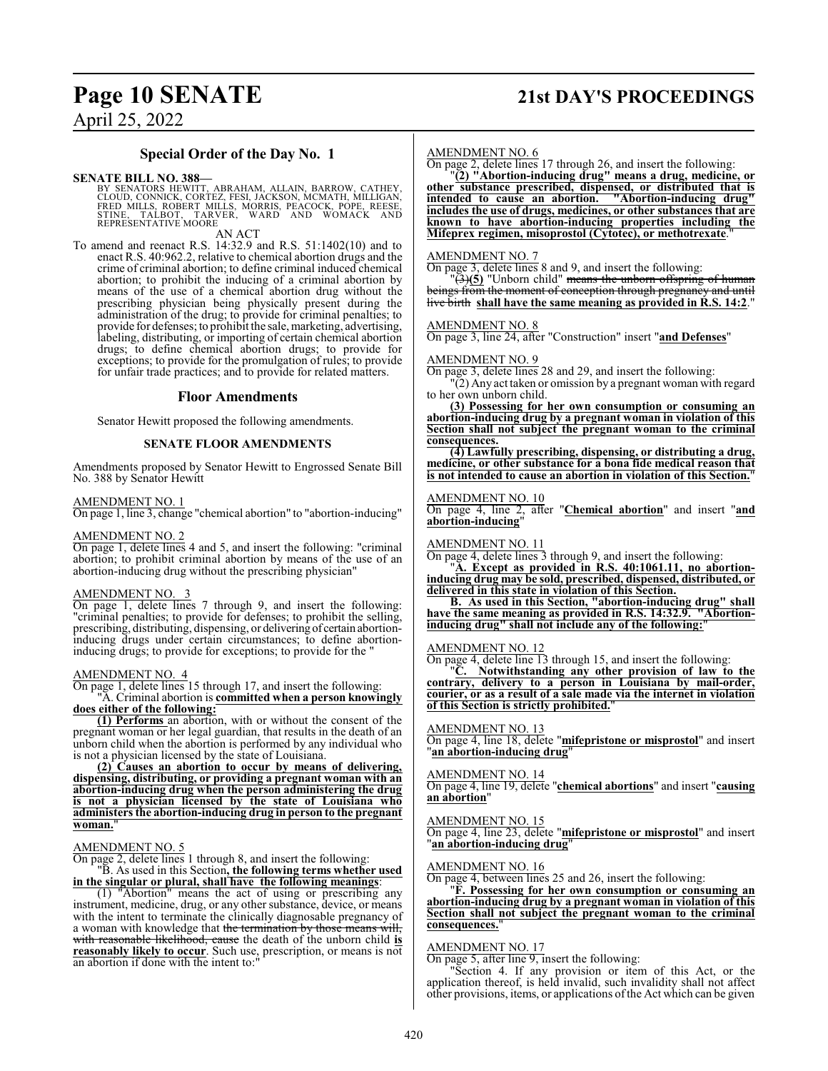### **Page 10 SENATE 21st DAY'S PROCEEDINGS**

April 25, 2022

#### **Special Order of the Day No. 1**

**SENATE BILL NO. 388—**<br>BY SENATORS HEWITT, ABRAHAM, ALLAIN, BARROW, CATHEY,<br>CLOUD, CONNICK, CORTEZ, FESI, JACKSON, MCMATH, MILLIGAN,<br>FRED MILLS, ROBERT MILLS, MORRIS, PEACOCK, PÓPE, REESE,<br>STINE, TALBOT, TARVER, WARD AND W

AN ACT

To amend and reenact R.S. 14:32.9 and R.S. 51:1402(10) and to enact R.S. 40:962.2, relative to chemical abortion drugs and the crime of criminal abortion; to define criminal induced chemical abortion; to prohibit the inducing of a criminal abortion by means of the use of a chemical abortion drug without the prescribing physician being physically present during the administration of the drug; to provide for criminal penalties; to provide for defenses; to prohibit the sale, marketing, advertising, labeling, distributing, or importing of certain chemical abortion drugs; to define chemical abortion drugs; to provide for exceptions; to provide for the promulgation of rules; to provide for unfair trade practices; and to provide for related matters.

#### **Floor Amendments**

Senator Hewitt proposed the following amendments.

#### **SENATE FLOOR AMENDMENTS**

Amendments proposed by Senator Hewitt to Engrossed Senate Bill No. 388 by Senator Hewitt

#### AMENDMENT NO. 1

On page 1, line 3, change "chemical abortion" to "abortion-inducing"

#### AMENDMENT NO. 2

On page 1, delete lines 4 and 5, and insert the following: "criminal abortion; to prohibit criminal abortion by means of the use of an abortion-inducing drug without the prescribing physician"

#### AMENDMENT NO. 3

On page 1, delete lines 7 through 9, and insert the following: "criminal penalties; to provide for defenses; to prohibit the selling, prescribing, distributing, dispensing, or delivering of certain abortioninducing drugs under certain circumstances; to define abortioninducing drugs; to provide for exceptions; to provide for the "

#### AMENDMENT NO. 4

On page 1, delete lines 15 through 17, and insert the following: "A. Criminal abortion is **committed when a person knowingly does either of the following:**

**(1) Performs** an abortion, with or without the consent of the pregnant woman or her legal guardian, that results in the death of an unborn child when the abortion is performed by any individual who is not a physician licensed by the state of Louisiana.

**(2) Causes an abortion to occur by means of delivering, dispensing, distributing, or providing a pregnant woman with an abortion-inducing drug when the person administering the drug is not a physician licensed by the state of Louisiana who administers the abortion-inducing drug in person to the pregnant woman.**"

#### AMENDMENT NO. 5

On page 2, delete lines 1 through 8, and insert the following: "B. As used in this Section**, the following terms whether used**

**in the singular or plural, shall have the following meanings**: (1) "Abortion" means the act of using or prescribing any instrument, medicine, drug, or any other substance, device, or means with the intent to terminate the clinically diagnosable pregnancy of a woman with knowledge that the termination by those means will, with reasonable likelihood, cause the death of the unborn child **is reasonably likely to occur**. Such use, prescription, or means is not an abortion if done with the intent to:

#### AMENDMENT NO. 6

On page 2, delete lines 17 through 26, and insert the following:

"**(2) "Abortion-inducing drug" means a drug, medicine, or other substance prescribed, dispensed, or distributed that is intended to cause an abortion. "Abortion-inducing drug" includes the use of drugs, medicines, or other substances that are known to have abortion-inducing properties including the Mifeprex regimen, misoprostol (Cytotec), or methotrexate**."

#### AMENDMENT NO. 7

On page 3, delete lines 8 and 9, and insert the following:

"(3)**(5)** "Unborn child" means the unborn offspring of human beings from the moment of conception through pregnancy and until live birth **shall have the same meaning as provided in R.S. 14:2**."

#### AMENDMENT NO. 8

On page 3, line 24, after "Construction" insert "**and Defenses**"

#### AMENDMENT NO. 9

On page 3, delete lines 28 and 29, and insert the following:

"(2) Any act taken or omission by a pregnant woman with regard to her own unborn child.

**(3) Possessing for her own consumption or consuming an abortion-inducing drug by a pregnant woman in violation of this Section shall not subject the pregnant woman to the criminal consequences.**

**(4) Lawfully prescribing, dispensing, or distributing a drug, medicine, or other substance for a bona fide medical reason that is not intended to cause an abortion in violation of this Section.**"

#### AMENDMENT NO. 10

On page 4, line 2, after "**Chemical abortion**" and insert "**and abortion-inducing**"

#### AMENDMENT NO. 11

On page 4, delete lines 3 through 9, and insert the following:

"**A. Except as provided in R.S. 40:1061.11, no abortioninducing drug may be sold, prescribed, dispensed, distributed, or delivered in this state in violation of this Section.**

**B. As used in this Section, "abortion-inducing drug" shall have the same meaning as provided in R.S. 14:32.9. "Abortioninducing drug" shall not include any of the following:**"

#### AMENDMENT NO. 12

On page 4, delete line 13 through 15, and insert the following:

"**C. Notwithstanding any other provision of law to the contrary, delivery to a person in Louisiana by mail-order, courier, or as a result of a sale made via the internet in violation of this Section is strictly prohibited.**"

#### AMENDMENT NO. 13

On page 4, line 18, delete "**mifepristone or misprostol**" and insert "**an abortion-inducing drug**"

#### AMENDMENT NO. 14

On page 4, line 19, delete "**chemical abortions**" and insert "**causing an abortion**"

#### AMENDMENT NO. 15

On page 4, line 23, delete "**mifepristone or misprostol**" and insert "**an abortion-inducing drug**"

#### AMENDMENT NO. 16

On page 4, between lines 25 and 26, insert the following:

"**F. Possessing for her own consumption or consuming an abortion-inducing drug by a pregnant woman in violation of this Section shall not subject the pregnant woman to the criminal consequences.**"

#### AMENDMENT NO. 17

On page 5, after line 9, insert the following:

"Section 4. If any provision or item of this Act, or the application thereof, is held invalid, such invalidity shall not affect other provisions, items, or applications ofthe Act which can be given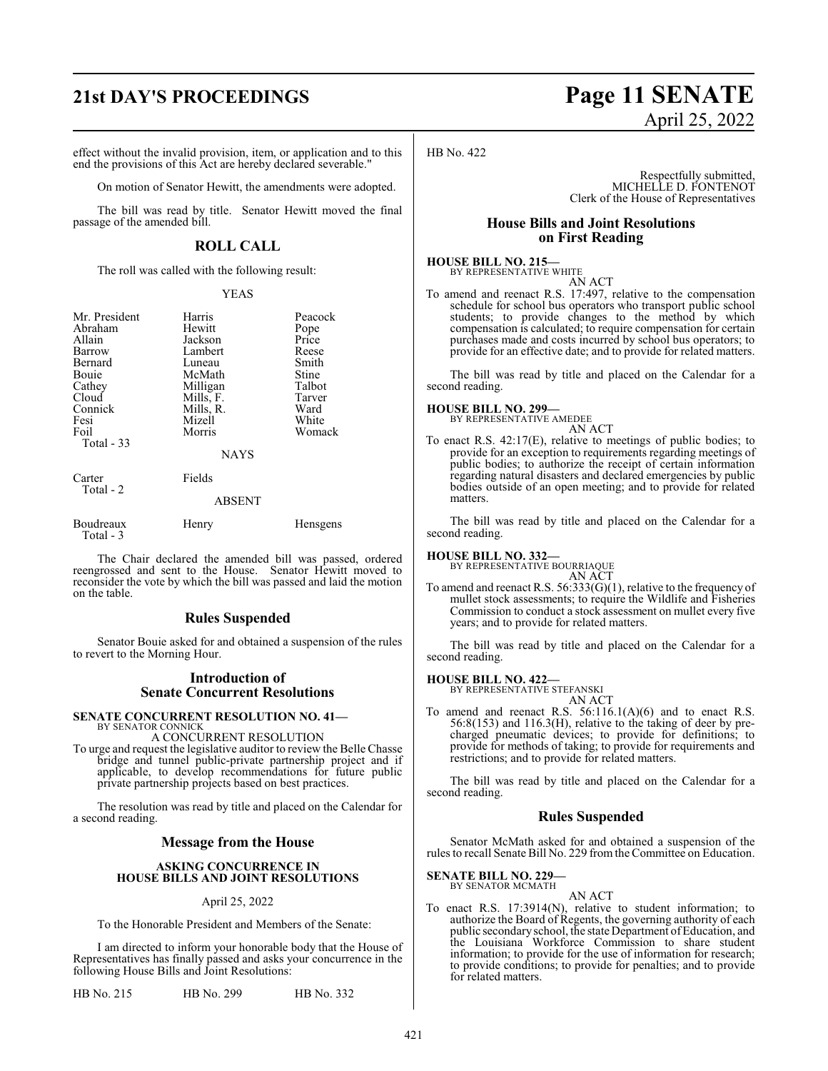### **21st DAY'S PROCEEDINGS Page 11 SENATE**

effect without the invalid provision, item, or application and to this end the provisions of this Act are hereby declared severable."

On motion of Senator Hewitt, the amendments were adopted.

The bill was read by title. Senator Hewitt moved the final passage of the amended bill.

### **ROLL CALL**

The roll was called with the following result:

#### YEAS

| Mr. President<br>Abraham<br>Allain<br>Barrow<br>Bernard<br>Bouie<br>Cathey<br>Cloud<br>Connick<br>Fesi<br>Foil<br>Total $-33$ | Harris<br>Hewitt<br>Jackson<br>Lambert<br>Luneau<br>McMath<br>Milligan<br>Mills, F.<br>Mills, R.<br>Mizell<br>Morris | Peacock<br>Pope<br>Price<br>Reese<br>Smith<br>Stine<br>Talbot<br>Tarver<br>Ward<br>White<br>Womack |
|-------------------------------------------------------------------------------------------------------------------------------|----------------------------------------------------------------------------------------------------------------------|----------------------------------------------------------------------------------------------------|
|                                                                                                                               | <b>NAYS</b>                                                                                                          |                                                                                                    |
| Carter<br>Total - 2                                                                                                           | Fields                                                                                                               |                                                                                                    |
|                                                                                                                               | <b>ABSENT</b>                                                                                                        |                                                                                                    |
| Boudreaux<br>Total - 3                                                                                                        | Henry                                                                                                                | <b>Hensgens</b>                                                                                    |

The Chair declared the amended bill was passed, ordered reengrossed and sent to the House. Senator Hewitt moved to reconsider the vote by which the bill was passed and laid the motion on the table.

#### **Rules Suspended**

Senator Bouie asked for and obtained a suspension of the rules to revert to the Morning Hour.

#### **Introduction of Senate Concurrent Resolutions**

#### **SENATE CONCURRENT RESOLUTION NO. 41—** BY SENATOR CONNICK

### A CONCURRENT RESOLUTION

To urge and request the legislative auditor to review the Belle Chasse bridge and tunnel public-private partnership project and if applicable, to develop recommendations for future public private partnership projects based on best practices.

The resolution was read by title and placed on the Calendar for a second reading.

#### **Message from the House**

#### **ASKING CONCURRENCE IN HOUSE BILLS AND JOINT RESOLUTIONS**

#### April 25, 2022

To the Honorable President and Members of the Senate:

I am directed to inform your honorable body that the House of Representatives has finally passed and asks your concurrence in the following House Bills and Joint Resolutions:

HB No. 215 HB No. 299 HB No. 332

# April 25, 2022

HB No. 422

Respectfully submitted, MICHELLE D. FONTENOT Clerk of the House of Representatives

#### **House Bills and Joint Resolutions on First Reading**

**HOUSE BILL NO. 215—** BY REPRESENTATIVE WHITE AN ACT

To amend and reenact R.S. 17:497, relative to the compensation schedule for school bus operators who transport public school students; to provide changes to the method by which compensation is calculated; to require compensation for certain purchases made and costs incurred by school bus operators; to provide for an effective date; and to provide for related matters.

The bill was read by title and placed on the Calendar for a second reading.

### **HOUSE BILL NO. 299—** BY REPRESENTATIVE AMEDEE

AN ACT

To enact R.S. 42:17(E), relative to meetings of public bodies; to provide for an exception to requirements regarding meetings of public bodies; to authorize the receipt of certain information regarding natural disasters and declared emergencies by public bodies outside of an open meeting; and to provide for related matters.

The bill was read by title and placed on the Calendar for a second reading.

**HOUSE BILL NO. 332—** BY REPRESENTATIVE BOURRIAQUE AN ACT

To amend and reenact R.S. 56:333(G)(1), relative to the frequency of mullet stock assessments; to require the Wildlife and Fisheries Commission to conduct a stock assessment on mullet every five years; and to provide for related matters.

The bill was read by title and placed on the Calendar for a second reading.

#### **HOUSE BILL NO. 422—**

BY REPRESENTATIVE STEFANSKI AN ACT

To amend and reenact R.S. 56:116.1(A)(6) and to enact R.S. 56:8(153) and 116.3(H), relative to the taking of deer by precharged pneumatic devices; to provide for definitions; to provide for methods of taking; to provide for requirements and restrictions; and to provide for related matters.

The bill was read by title and placed on the Calendar for a second reading.

#### **Rules Suspended**

Senator McMath asked for and obtained a suspension of the rules to recall Senate Bill No. 229 fromthe Committee on Education.

#### **SENATE BILL NO. 229—** BY SENATOR MCMATH

### AN ACT

To enact R.S. 17:3914(N), relative to student information; to authorize the Board of Regents, the governing authority of each public secondary school, the state Department of Education, and the Louisiana Workforce Commission to share student information; to provide for the use of information for research; to provide conditions; to provide for penalties; and to provide for related matters.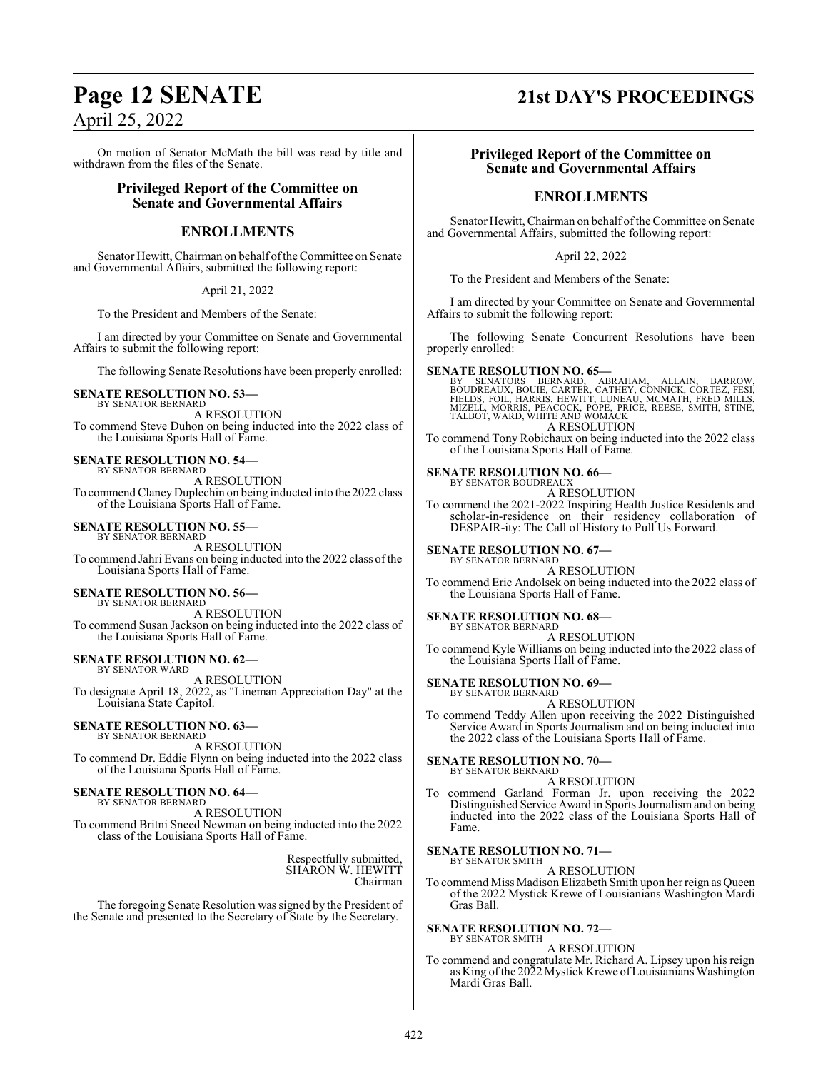April 25, 2022

On motion of Senator McMath the bill was read by title and withdrawn from the files of the Senate.

### **Privileged Report of the Committee on Senate and Governmental Affairs**

### **ENROLLMENTS**

Senator Hewitt, Chairman on behalf ofthe Committee on Senate and Governmental Affairs, submitted the following report:

April 21, 2022

To the President and Members of the Senate:

I am directed by your Committee on Senate and Governmental Affairs to submit the following report:

The following Senate Resolutions have been properly enrolled:

#### **SENATE RESOLUTION NO. 53—**

BY SENATOR BERNARD A RESOLUTION To commend Steve Duhon on being inducted into the 2022 class of the Louisiana Sports Hall of Fame.

#### **SENATE RESOLUTION NO. 54—**

BY SENATOR BERNARD A RESOLUTION To commend Claney Duplechin on being inducted into the 2022 class of the Louisiana Sports Hall of Fame.

#### **SENATE RESOLUTION NO. 55—**

BY SENATOR BERNARD A RESOLUTION To commend Jahri Evans on being inducted into the 2022 class ofthe Louisiana Sports Hall of Fame.

#### **SENATE RESOLUTION NO. 56—**

BY SENATOR BERNARD A RESOLUTION To commend Susan Jackson on being inducted into the 2022 class of the Louisiana Sports Hall of Fame.

#### **SENATE RESOLUTION NO. 62—**

BY SENATOR WARD A RESOLUTION To designate April 18, 2022, as "Lineman Appreciation Day" at the Louisiana State Capitol.

### **SENATE RESOLUTION NO. 63—** BY SENATOR BERNARD

A RESOLUTION To commend Dr. Eddie Flynn on being inducted into the 2022 class of the Louisiana Sports Hall of Fame.

#### **SENATE RESOLUTION NO. 64—** BY SENATOR BERNARD

A RESOLUTION

To commend Britni Sneed Newman on being inducted into the 2022 class of the Louisiana Sports Hall of Fame.

> Respectfully submitted, SHARON W. HEWITT Chairman

The foregoing Senate Resolution was signed by the President of the Senate and presented to the Secretary of State by the Secretary.

### **Page 12 SENATE 21st DAY'S PROCEEDINGS**

#### **Privileged Report of the Committee on Senate and Governmental Affairs**

### **ENROLLMENTS**

Senator Hewitt, Chairman on behalf of the Committee on Senate and Governmental Affairs, submitted the following report:

April 22, 2022

To the President and Members of the Senate:

I am directed by your Committee on Senate and Governmental Affairs to submit the following report:

The following Senate Concurrent Resolutions have been properly enrolled:

#### **SENATE RESOLUTION NO. 65—**

BY SENATORS BERNARD, ABRAHAM, ALLAIN, BARROW,<br>BOUDREAUX,BOUIE,CARTER,CATHEY,CONNICK,CORTEZ,FESI,<br>FIELDS,FOIL,HARRIS,HEWITT,LUNEAU,MCMATH,FRED MILLS,<br>MIZELL,MORRIS,PEACOCK,POPE,PRICE,REESE,SMITH,STINE,<br>TALBOT,WARD,WHITEANDW A RESOLUTION

To commend Tony Robichaux on being inducted into the 2022 class of the Louisiana Sports Hall of Fame.

### **SENATE RESOLUTION NO. 66-**<br>BY SENATOR BOUDREAUX

A RESOLUTION

To commend the 2021-2022 Inspiring Health Justice Residents and scholar-in-residence on their residency collaboration of DESPAIR-ity: The Call of History to Pull Us Forward.

#### **SENATE RESOLUTION NO. 67—** BY SENATOR BERNARD

A RESOLUTION

To commend Eric Andolsek on being inducted into the 2022 class of the Louisiana Sports Hall of Fame.

#### **SENATE RESOLUTION NO. 68—**

BY SENATOR BERNARD

A RESOLUTION To commend Kyle Williams on being inducted into the 2022 class of the Louisiana Sports Hall of Fame.

#### **SENATE RESOLUTION NO. 69—**

BY SENATOR BERNARD A RESOLUTION

To commend Teddy Allen upon receiving the 2022 Distinguished Service Award in Sports Journalism and on being inducted into the 2022 class of the Louisiana Sports Hall of Fame.

**SENATE RESOLUTION NO. 70—** BY SENATOR BERNARD

A RESOLUTION

To commend Garland Forman Jr. upon receiving the 2022 Distinguished Service Award in Sports Journalismand on being inducted into the 2022 class of the Louisiana Sports Hall of Fame.

#### **SENATE RESOLUTION NO. 71—**

BY SENATOR SMITH A RESOLUTION

To commend Miss Madison Elizabeth Smith upon her reign as Queen of the 2022 Mystick Krewe of Louisianians Washington Mardi Gras Ball.

#### **SENATE RESOLUTION NO. 72—** BY SENATOR SMITH

A RESOLUTION

To commend and congratulate Mr. Richard A. Lipsey upon his reign as King of the 2022 Mystick Krewe of Louisianians Washington Mardi Gras Ball.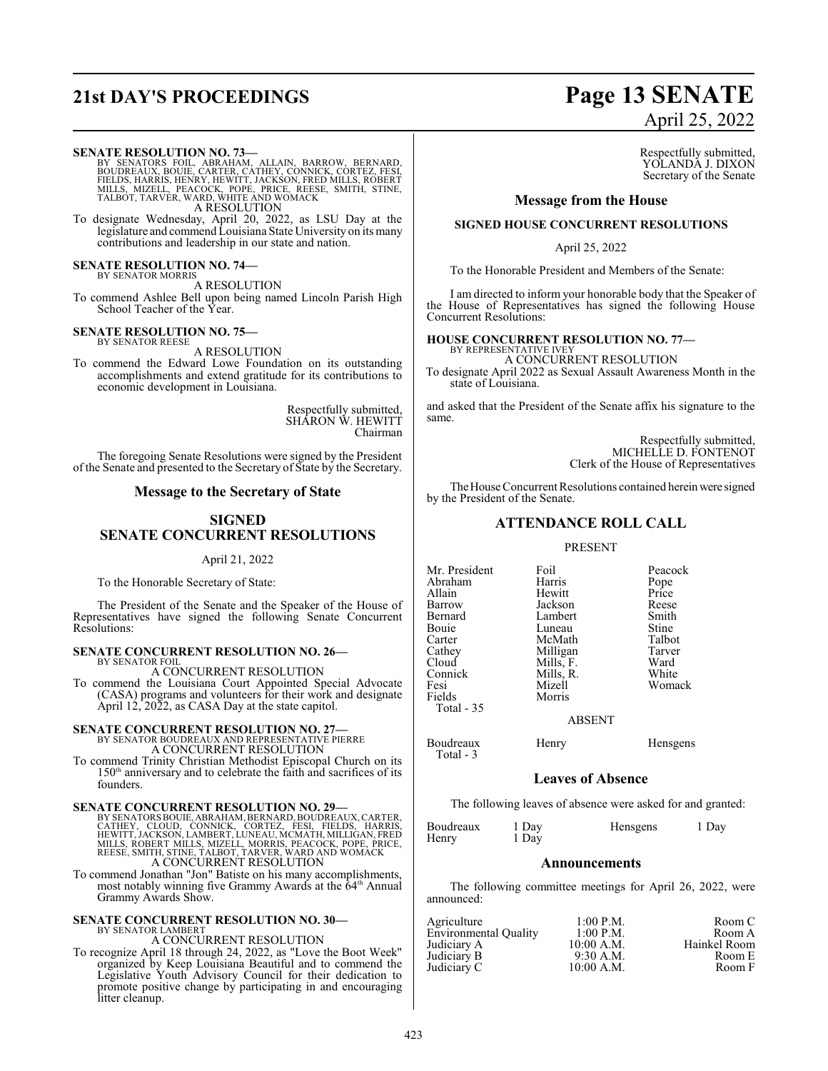## **21st DAY'S PROCEEDINGS Page 13 SENATE**

#### **SENATE RESOLUTION NO. 73—**

BY SENATORS FOIL, ABRAHAM, ALLAIN, BARROW, BERNARD,<br>BOUDREAUX, BOUIE, CARTER, CATHEY, CONNICK, CORTEZ, FESI,<br>FIELDS, HARRIS, HENRY, HEWITT, JACKSON, FRED MILLS, ROBERT<br>MILLS, MIZELL, PEACOCK, POPE, PRICE, REESE, SMITH, STI A RESOLUTION

To designate Wednesday, April 20, 2022, as LSU Day at the legislature and commend Louisiana State University on its many contributions and leadership in our state and nation.

**SENATE RESOLUTION NO. 74—** BY SENATOR MORRIS

A RESOLUTION

To commend Ashlee Bell upon being named Lincoln Parish High School Teacher of the Year.

#### **SENATE RESOLUTION NO. 75—** BY SENATOR REESE

A RESOLUTION

To commend the Edward Lowe Foundation on its outstanding accomplishments and extend gratitude for its contributions to economic development in Louisiana.

> Respectfully submitted, SHARON W. HEWITT Chairman

The foregoing Senate Resolutions were signed by the President of the Senate and presented to the Secretary of State by the Secretary.

#### **Message to the Secretary of State**

### **SIGNED SENATE CONCURRENT RESOLUTIONS**

#### April 21, 2022

To the Honorable Secretary of State:

The President of the Senate and the Speaker of the House of Representatives have signed the following Senate Concurrent Resolutions:

#### **SENATE CONCURRENT RESOLUTION NO. 26—**

BY SENATOR FOIL A CONCURRENT RESOLUTION

To commend the Louisiana Court Appointed Special Advocate (CASA) programs and volunteers for their work and designate April 12, 2022, as CASA Day at the state capitol.

### **SENATE CONCURRENT RESOLUTION NO. 27—** BY SENATOR BOUDREAUX AND REPRESENTATIVE PIERRE

A CONCURRENT RESOLUTION

To commend Trinity Christian Methodist Episcopal Church on its 150<sup>th</sup> anniversary and to celebrate the faith and sacrifices of its founders.

#### **SENATE CONCURRENT RESOLUTION NO. 29—**

BY SENATORS BOUIE, ABRAHAM, BERNARD, BOUDREAUX, CARTER,<br>CATHEY, CLOUD, CONNICK, CORTEZ, FESI, FIELDS, HARRIS,<br>HEWITT, JACKSON, LAMBERT, LUNEAU, MCMATH, MILLIGAN, FRED<br>MILLS, ROBERT MILLS, MIZELL, MORRIS, PEACOCK, POPE, PRI A CONCURRENT RESOLUTION

To commend Jonathan "Jon" Batiste on his many accomplishments, most notably winning five Grammy Awards at the 64<sup>th</sup> Annual Grammy Awards Show.

#### **SENATE CONCURRENT RESOLUTION NO. 30—** BY SENATOR LAMBERT

A CONCURRENT RESOLUTION

To recognize April 18 through 24, 2022, as "Love the Boot Week" organized by Keep Louisiana Beautiful and to commend the Legislative Youth Advisory Council for their dedication to promote positive change by participating in and encouraging litter cleanup.

# April 25, 2022

Respectfully submitted, YOLANDA J. DIXON Secretary of the Senate

#### **Message from the House**

#### **SIGNED HOUSE CONCURRENT RESOLUTIONS**

April 25, 2022

To the Honorable President and Members of the Senate:

I am directed to inform your honorable body that the Speaker of the House of Representatives has signed the following House Concurrent Resolutions:

### **HOUSE CONCURRENT RESOLUTION NO. 77—** BY REPRESENTATIVE IVEY

A CONCURRENT RESOLUTION

To designate April 2022 as Sexual Assault Awareness Month in the state of Louisiana.

and asked that the President of the Senate affix his signature to the same.

> Respectfully submitted, MICHELLE D. FONTENOT Clerk of the House of Representatives

The House Concurrent Resolutions contained herein were signed by the President of the Senate.

### **ATTENDANCE ROLL CALL**

#### PRESENT

| Mr. President | Foil      | Peacock      |
|---------------|-----------|--------------|
| Abraham       | Harris    | Pope         |
| Allain        | Hewitt    | Price        |
| Barrow        | Jackson   | Reese        |
| Bernard       | Lambert   | Smith        |
| Bouie         | Luneau    | <b>Stine</b> |
| Carter        | McMath    | Talbot       |
| Cathev        | Milligan  | Tarver       |
| Cloud         | Mills, F. | Ward         |
| Connick       | Mills, R. | White        |
| Fesi          | Mizell    | Womack       |
| Fields        | Morris    |              |
| Total - 35    |           |              |
|               | ABSENT    |              |
|               |           |              |

Boudreaux Henry Hensgens Total - 3

#### **Leaves of Absence**

The following leaves of absence were asked for and granted:

| Boudreaux | 1 Day | Hensgens | 1 Day |
|-----------|-------|----------|-------|
| Henry     | 1 Day |          |       |

#### **Announcements**

The following committee meetings for April 26, 2022, were announced:

| 1:00 P.M.    | Room C       |
|--------------|--------------|
| 1:00 P.M.    | Room A       |
| 10:00 A.M.   | Hainkel Room |
| $9:30$ A.M.  | Room E       |
| $10:00$ A.M. | Room F       |
|              |              |